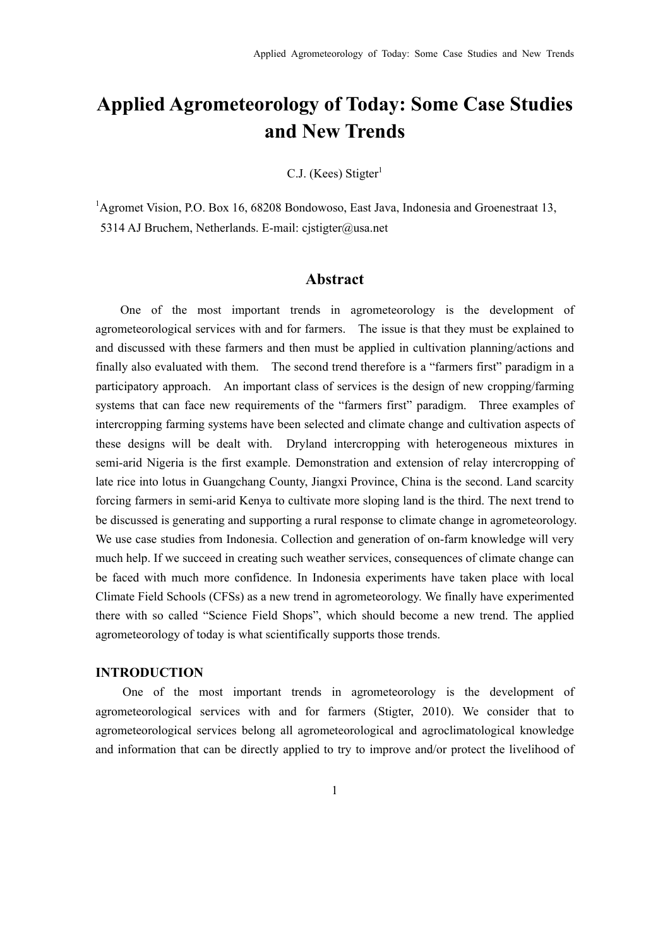# **Applied Agrometeorology of Today: Some Case Studies and New Trends**

C.J. (Kees) Stigter $1$ 

<sup>1</sup>Agromet Vision, P.O. Box 16, 68208 Bondowoso, East Java, Indonesia and Groenestraat 13, 5314 AJ Bruchem, Netherlands. E-mail: cjstigter@usa.net

#### **Abstract**

One of the most important trends in agrometeorology is the development of agrometeorological services with and for farmers. The issue is that they must be explained to and discussed with these farmers and then must be applied in cultivation planning/actions and finally also evaluated with them. The second trend therefore is a "farmers first" paradigm in a participatory approach. An important class of services is the design of new cropping/farming systems that can face new requirements of the "farmers first" paradigm. Three examples of intercropping farming systems have been selected and climate change and cultivation aspects of these designs will be dealt with. Dryland intercropping with heterogeneous mixtures in semi-arid Nigeria is the first example. Demonstration and extension of relay intercropping of late rice into lotus in Guangchang County, Jiangxi Province, China is the second. Land scarcity forcing farmers in semi-arid Kenya to cultivate more sloping land is the third. The next trend to be discussed is generating and supporting a rural response to climate change in agrometeorology. We use case studies from Indonesia. Collection and generation of on-farm knowledge will very much help. If we succeed in creating such weather services, consequences of climate change can be faced with much more confidence. In Indonesia experiments have taken place with local Climate Field Schools (CFSs) as a new trend in agrometeorology. We finally have experimented there with so called "Science Field Shops", which should become a new trend. The applied agrometeorology of today is what scientifically supports those trends.

#### **INTRODUCTION**

 One of the most important trends in agrometeorology is the development of agrometeorological services with and for farmers (Stigter, 2010). We consider that to agrometeorological services belong all agrometeorological and agroclimatological knowledge and information that can be directly applied to try to improve and/or protect the livelihood of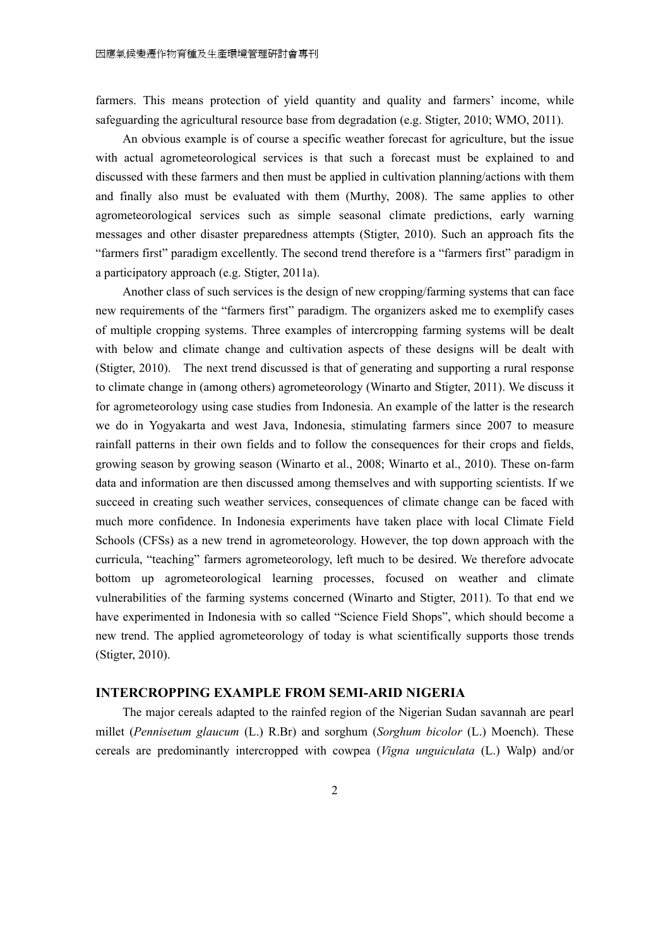farmers. This means protection of yield quantity and quality and farmers' income, while safeguarding the agricultural resource base from degradation (e.g. Stigter, 2010; WMO, 2011).

 An obvious example is of course a specific weather forecast for agriculture, but the issue with actual agrometeorological services is that such a forecast must be explained to and discussed with these farmers and then must be applied in cultivation planning/actions with them and finally also must be evaluated with them (Murthy, 2008). The same applies to other agrometeorological services such as simple seasonal climate predictions, early warning messages and other disaster preparedness attempts (Stigter, 2010). Such an approach fits the "farmers first" paradigm excellently. The second trend therefore is a "farmers first" paradigm in a participatory approach (e.g. Stigter, 2011a).

 Another class of such services is the design of new cropping/farming systems that can face new requirements of the "farmers first" paradigm. The organizers asked me to exemplify cases of multiple cropping systems. Three examples of intercropping farming systems will be dealt with below and climate change and cultivation aspects of these designs will be dealt with (Stigter, 2010). The next trend discussed is that of generating and supporting a rural response to climate change in (among others) agrometeorology (Winarto and Stigter, 2011). We discuss it for agrometeorology using case studies from Indonesia. An example of the latter is the research we do in Yogyakarta and west Java, Indonesia, stimulating farmers since 2007 to measure rainfall patterns in their own fields and to follow the consequences for their crops and fields, growing season by growing season (Winarto et al., 2008; Winarto et al., 2010). These on-farm data and information are then discussed among themselves and with supporting scientists. If we succeed in creating such weather services, consequences of climate change can be faced with much more confidence. In Indonesia experiments have taken place with local Climate Field Schools (CFSs) as a new trend in agrometeorology. However, the top down approach with the curricula, "teaching" farmers agrometeorology, left much to be desired. We therefore advocate bottom up agrometeorological learning processes, focused on weather and climate vulnerabilities of the farming systems concerned (Winarto and Stigter, 2011). To that end we have experimented in Indonesia with so called "Science Field Shops", which should become a new trend. The applied agrometeorology of today is what scientifically supports those trends (Stigter, 2010).

#### **INTERCROPPING EXAMPLE FROM SEMI-ARID NIGERIA**

 The major cereals adapted to the rainfed region of the Nigerian Sudan savannah are pearl millet (*Pennisetum glaucum* (L.) R.Br) and sorghum (*Sorghum bicolor* (L.) Moench). These cereals are predominantly intercropped with cowpea (*Vigna unguiculata* (L.) Walp) and/or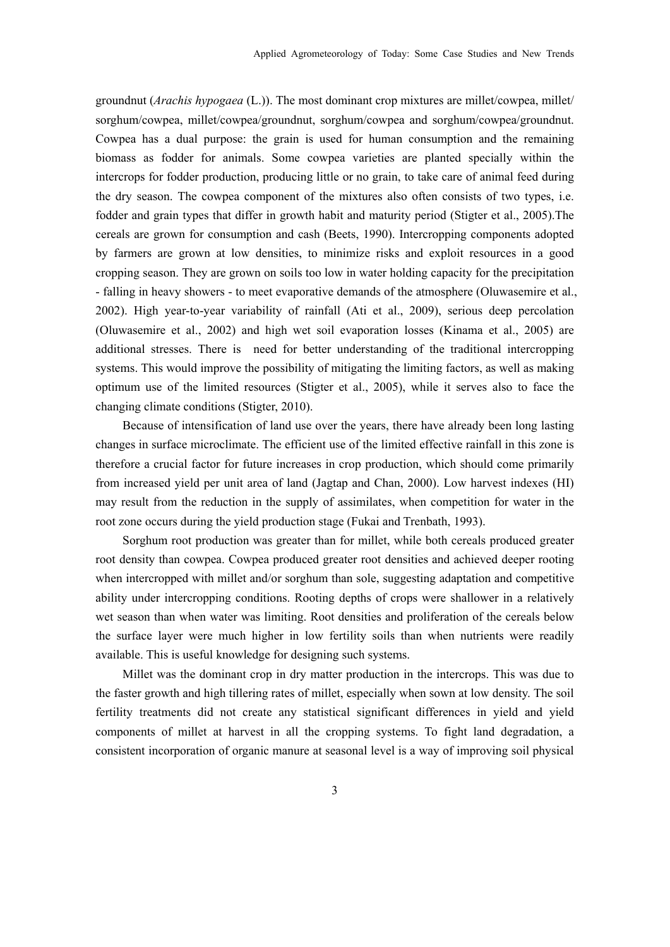groundnut (*Arachis hypogaea* (L.)). The most dominant crop mixtures are millet/cowpea, millet/ sorghum/cowpea, millet/cowpea/groundnut, sorghum/cowpea and sorghum/cowpea/groundnut. Cowpea has a dual purpose: the grain is used for human consumption and the remaining biomass as fodder for animals. Some cowpea varieties are planted specially within the intercrops for fodder production, producing little or no grain, to take care of animal feed during the dry season. The cowpea component of the mixtures also often consists of two types, i.e. fodder and grain types that differ in growth habit and maturity period (Stigter et al., 2005).The cereals are grown for consumption and cash (Beets, 1990). Intercropping components adopted by farmers are grown at low densities, to minimize risks and exploit resources in a good cropping season. They are grown on soils too low in water holding capacity for the precipitation - falling in heavy showers - to meet evaporative demands of the atmosphere (Oluwasemire et al., 2002). High year-to-year variability of rainfall (Ati et al., 2009), serious deep percolation (Oluwasemire et al., 2002) and high wet soil evaporation losses (Kinama et al., 2005) are additional stresses. There is need for better understanding of the traditional intercropping systems. This would improve the possibility of mitigating the limiting factors, as well as making optimum use of the limited resources (Stigter et al., 2005), while it serves also to face the changing climate conditions (Stigter, 2010).

 Because of intensification of land use over the years, there have already been long lasting changes in surface microclimate. The efficient use of the limited effective rainfall in this zone is therefore a crucial factor for future increases in crop production, which should come primarily from increased yield per unit area of land (Jagtap and Chan, 2000). Low harvest indexes (HI) may result from the reduction in the supply of assimilates, when competition for water in the root zone occurs during the yield production stage (Fukai and Trenbath, 1993).

 Sorghum root production was greater than for millet, while both cereals produced greater root density than cowpea. Cowpea produced greater root densities and achieved deeper rooting when intercropped with millet and/or sorghum than sole, suggesting adaptation and competitive ability under intercropping conditions. Rooting depths of crops were shallower in a relatively wet season than when water was limiting. Root densities and proliferation of the cereals below the surface layer were much higher in low fertility soils than when nutrients were readily available. This is useful knowledge for designing such systems.

 Millet was the dominant crop in dry matter production in the intercrops. This was due to the faster growth and high tillering rates of millet, especially when sown at low density. The soil fertility treatments did not create any statistical significant differences in yield and yield components of millet at harvest in all the cropping systems. To fight land degradation, a consistent incorporation of organic manure at seasonal level is a way of improving soil physical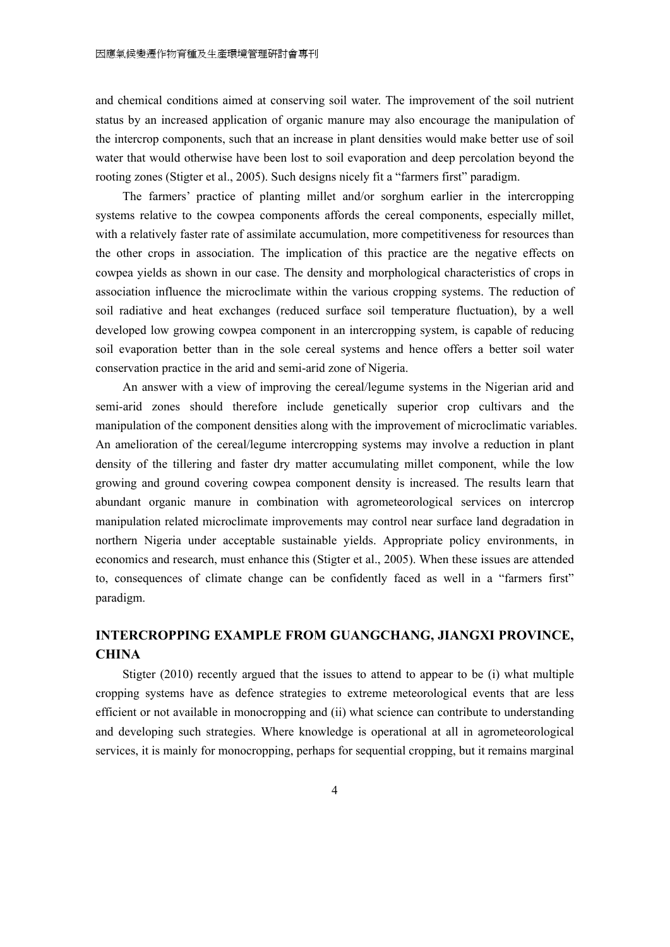and chemical conditions aimed at conserving soil water. The improvement of the soil nutrient status by an increased application of organic manure may also encourage the manipulation of the intercrop components, such that an increase in plant densities would make better use of soil water that would otherwise have been lost to soil evaporation and deep percolation beyond the rooting zones (Stigter et al., 2005). Such designs nicely fit a "farmers first" paradigm.

 The farmers' practice of planting millet and/or sorghum earlier in the intercropping systems relative to the cowpea components affords the cereal components, especially millet, with a relatively faster rate of assimilate accumulation, more competitiveness for resources than the other crops in association. The implication of this practice are the negative effects on cowpea yields as shown in our case. The density and morphological characteristics of crops in association influence the microclimate within the various cropping systems. The reduction of soil radiative and heat exchanges (reduced surface soil temperature fluctuation), by a well developed low growing cowpea component in an intercropping system, is capable of reducing soil evaporation better than in the sole cereal systems and hence offers a better soil water conservation practice in the arid and semi-arid zone of Nigeria.

 An answer with a view of improving the cereal/legume systems in the Nigerian arid and semi-arid zones should therefore include genetically superior crop cultivars and the manipulation of the component densities along with the improvement of microclimatic variables. An amelioration of the cereal/legume intercropping systems may involve a reduction in plant density of the tillering and faster dry matter accumulating millet component, while the low growing and ground covering cowpea component density is increased. The results learn that abundant organic manure in combination with agrometeorological services on intercrop manipulation related microclimate improvements may control near surface land degradation in northern Nigeria under acceptable sustainable yields. Appropriate policy environments, in economics and research, must enhance this (Stigter et al., 2005). When these issues are attended to, consequences of climate change can be confidently faced as well in a "farmers first" paradigm.

## **INTERCROPPING EXAMPLE FROM GUANGCHANG, JIANGXI PROVINCE, CHINA**

 Stigter (2010) recently argued that the issues to attend to appear to be (i) what multiple cropping systems have as defence strategies to extreme meteorological events that are less efficient or not available in monocropping and (ii) what science can contribute to understanding and developing such strategies. Where knowledge is operational at all in agrometeorological services, it is mainly for monocropping, perhaps for sequential cropping, but it remains marginal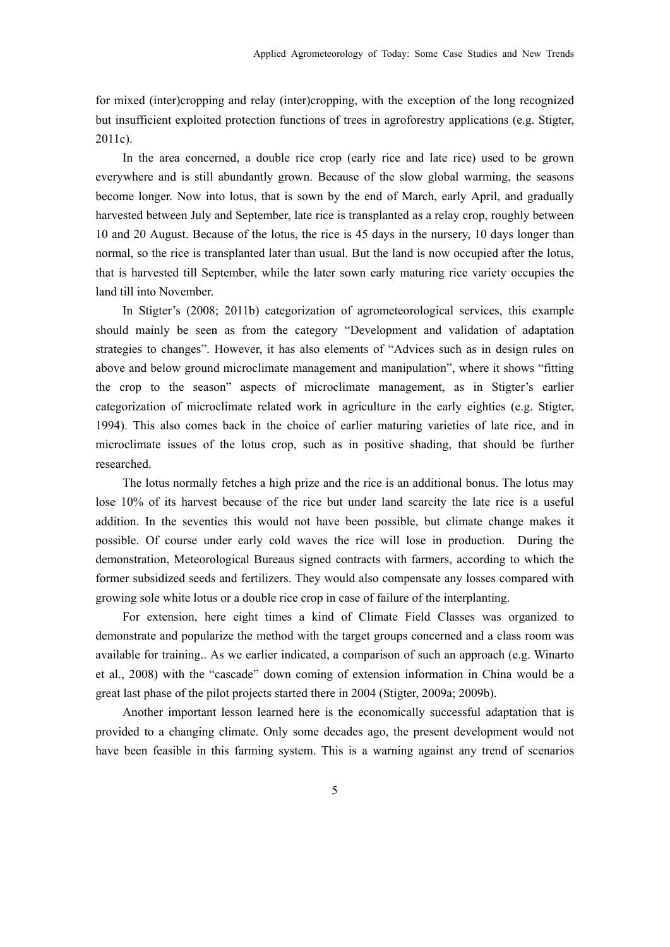for mixed (inter)cropping and relay (inter)cropping, with the exception of the long recognized but insufficient exploited protection functions of trees in agroforestry applications (e.g. Stigter, 2011c).

 In the area concerned, a double rice crop (early rice and late rice) used to be grown everywhere and is still abundantly grown. Because of the slow global warming, the seasons become longer. Now into lotus, that is sown by the end of March, early April, and gradually harvested between July and September, late rice is transplanted as a relay crop, roughly between 10 and 20 August. Because of the lotus, the rice is 45 days in the nursery, 10 days longer than normal, so the rice is transplanted later than usual. But the land is now occupied after the lotus, that is harvested till September, while the later sown early maturing rice variety occupies the land till into November.

 In Stigter's (2008; 2011b) categorization of agrometeorological services, this example should mainly be seen as from the category "Development and validation of adaptation strategies to changes". However, it has also elements of "Advices such as in design rules on above and below ground microclimate management and manipulation", where it shows "fitting the crop to the season" aspects of microclimate management, as in Stigter's earlier categorization of microclimate related work in agriculture in the early eighties (e.g. Stigter, 1994). This also comes back in the choice of earlier maturing varieties of late rice, and in microclimate issues of the lotus crop, such as in positive shading, that should be further researched.

 The lotus normally fetches a high prize and the rice is an additional bonus. The lotus may lose 10% of its harvest because of the rice but under land scarcity the late rice is a useful addition. In the seventies this would not have been possible, but climate change makes it possible. Of course under early cold waves the rice will lose in production. During the demonstration, Meteorological Bureaus signed contracts with farmers, according to which the former subsidized seeds and fertilizers. They would also compensate any losses compared with growing sole white lotus or a double rice crop in case of failure of the interplanting.

 For extension, here eight times a kind of Climate Field Classes was organized to demonstrate and popularize the method with the target groups concerned and a class room was available for training.. As we earlier indicated, a comparison of such an approach (e.g. Winarto et al., 2008) with the "cascade" down coming of extension information in China would be a great last phase of the pilot projects started there in 2004 (Stigter, 2009a; 2009b).

 Another important lesson learned here is the economically successful adaptation that is provided to a changing climate. Only some decades ago, the present development would not have been feasible in this farming system. This is a warning against any trend of scenarios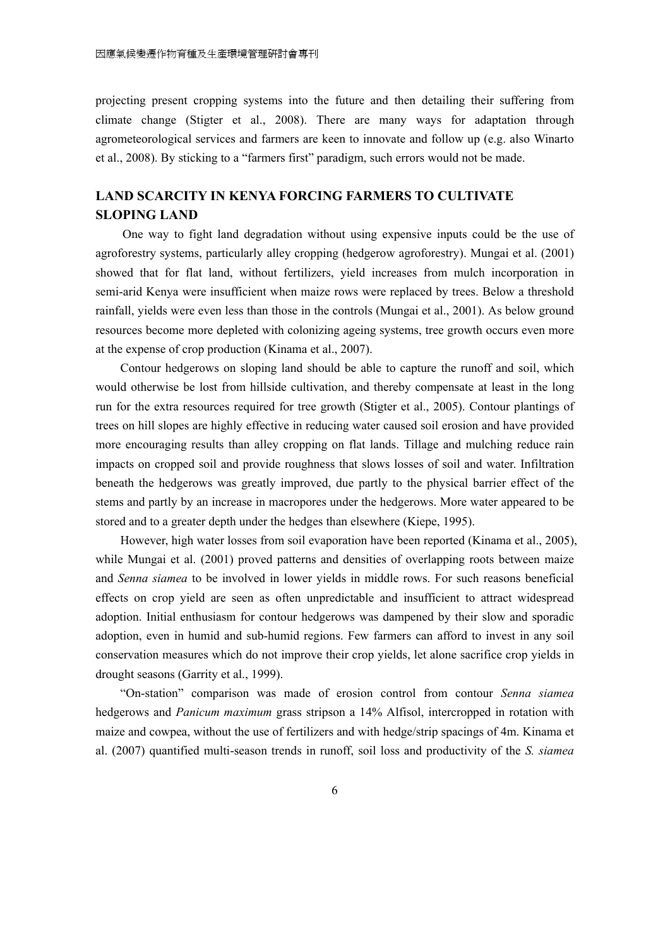projecting present cropping systems into the future and then detailing their suffering from climate change (Stigter et al., 2008). There are many ways for adaptation through agrometeorological services and farmers are keen to innovate and follow up (e.g. also Winarto et al., 2008). By sticking to a "farmers first" paradigm, such errors would not be made.

## **LAND SCARCITY IN KENYA FORCING FARMERS TO CULTIVATE SLOPING LAND**

 One way to fight land degradation without using expensive inputs could be the use of agroforestry systems, particularly alley cropping (hedgerow agroforestry). Mungai et al. (2001) showed that for flat land, without fertilizers, yield increases from mulch incorporation in semi-arid Kenya were insufficient when maize rows were replaced by trees. Below a threshold rainfall, yields were even less than those in the controls (Mungai et al., 2001). As below ground resources become more depleted with colonizing ageing systems, tree growth occurs even more at the expense of crop production (Kinama et al., 2007).

 Contour hedgerows on sloping land should be able to capture the runoff and soil, which would otherwise be lost from hillside cultivation, and thereby compensate at least in the long run for the extra resources required for tree growth (Stigter et al., 2005). Contour plantings of trees on hill slopes are highly effective in reducing water caused soil erosion and have provided more encouraging results than alley cropping on flat lands. Tillage and mulching reduce rain impacts on cropped soil and provide roughness that slows losses of soil and water. Infiltration beneath the hedgerows was greatly improved, due partly to the physical barrier effect of the stems and partly by an increase in macropores under the hedgerows. More water appeared to be stored and to a greater depth under the hedges than elsewhere (Kiepe, 1995).

However, high water losses from soil evaporation have been reported (Kinama et al., 2005), while Mungai et al. (2001) proved patterns and densities of overlapping roots between maize and *Senna siamea* to be involved in lower yields in middle rows. For such reasons beneficial effects on crop yield are seen as often unpredictable and insufficient to attract widespread adoption. Initial enthusiasm for contour hedgerows was dampened by their slow and sporadic adoption, even in humid and sub-humid regions. Few farmers can afford to invest in any soil conservation measures which do not improve their crop yields, let alone sacrifice crop yields in drought seasons (Garrity et al., 1999).

"On-station" comparison was made of erosion control from contour *Senna siamea*  hedgerows and *Panicum maximum* grass stripson a 14% Alfisol, intercropped in rotation with maize and cowpea, without the use of fertilizers and with hedge/strip spacings of 4m. Kinama et al. (2007) quantified multi-season trends in runoff, soil loss and productivity of the *S. siamea*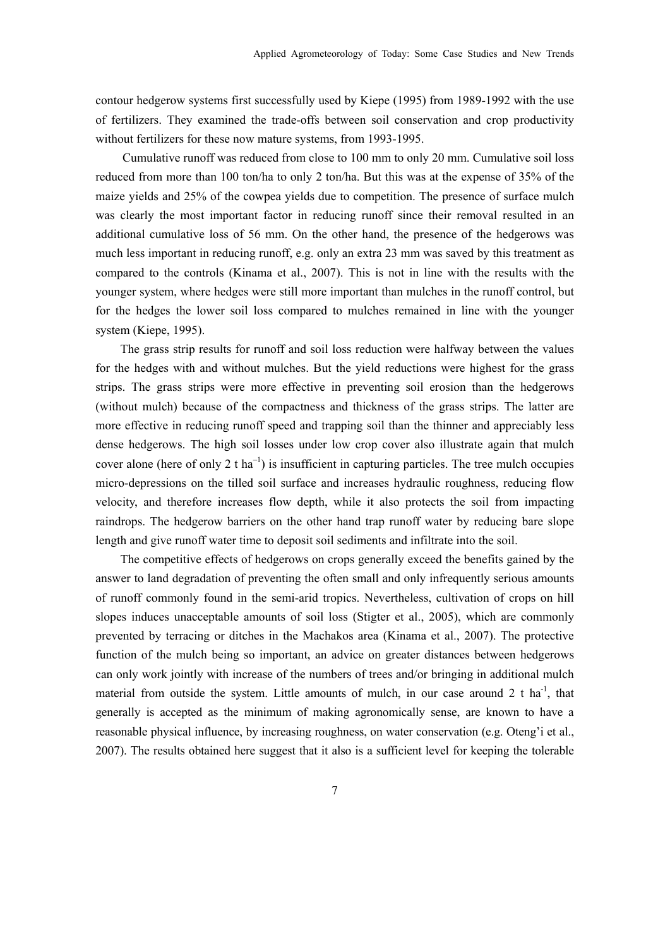contour hedgerow systems first successfully used by Kiepe (1995) from 1989-1992 with the use of fertilizers. They examined the trade-offs between soil conservation and crop productivity without fertilizers for these now mature systems, from 1993-1995.

 Cumulative runoff was reduced from close to 100 mm to only 20 mm. Cumulative soil loss reduced from more than 100 ton/ha to only 2 ton/ha. But this was at the expense of 35% of the maize yields and 25% of the cowpea yields due to competition. The presence of surface mulch was clearly the most important factor in reducing runoff since their removal resulted in an additional cumulative loss of 56 mm. On the other hand, the presence of the hedgerows was much less important in reducing runoff, e.g. only an extra 23 mm was saved by this treatment as compared to the controls (Kinama et al., 2007). This is not in line with the results with the younger system, where hedges were still more important than mulches in the runoff control, but for the hedges the lower soil loss compared to mulches remained in line with the younger system (Kiepe, 1995).

The grass strip results for runoff and soil loss reduction were halfway between the values for the hedges with and without mulches. But the yield reductions were highest for the grass strips. The grass strips were more effective in preventing soil erosion than the hedgerows (without mulch) because of the compactness and thickness of the grass strips. The latter are more effective in reducing runoff speed and trapping soil than the thinner and appreciably less dense hedgerows. The high soil losses under low crop cover also illustrate again that mulch cover alone (here of only 2 t ha<sup>-1</sup>) is insufficient in capturing particles. The tree mulch occupies micro-depressions on the tilled soil surface and increases hydraulic roughness, reducing flow velocity, and therefore increases flow depth, while it also protects the soil from impacting raindrops. The hedgerow barriers on the other hand trap runoff water by reducing bare slope length and give runoff water time to deposit soil sediments and infiltrate into the soil.

 The competitive effects of hedgerows on crops generally exceed the benefits gained by the answer to land degradation of preventing the often small and only infrequently serious amounts of runoff commonly found in the semi-arid tropics. Nevertheless, cultivation of crops on hill slopes induces unacceptable amounts of soil loss (Stigter et al., 2005), which are commonly prevented by terracing or ditches in the Machakos area (Kinama et al., 2007). The protective function of the mulch being so important, an advice on greater distances between hedgerows can only work jointly with increase of the numbers of trees and/or bringing in additional mulch material from outside the system. Little amounts of mulch, in our case around 2 t ha<sup>-1</sup>, that generally is accepted as the minimum of making agronomically sense, are known to have a reasonable physical influence, by increasing roughness, on water conservation (e.g. Oteng'i et al., 2007). The results obtained here suggest that it also is a sufficient level for keeping the tolerable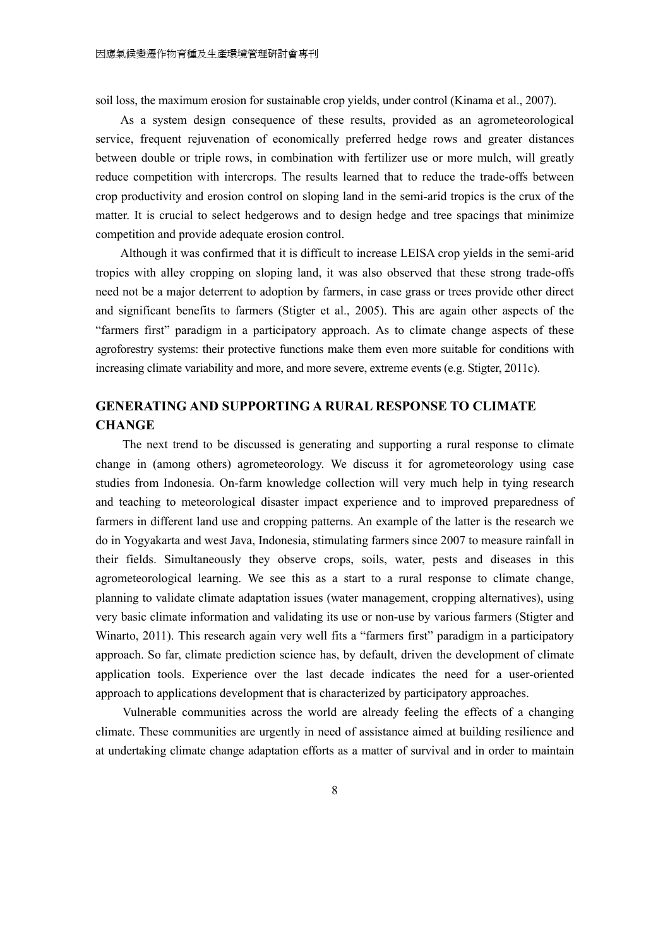soil loss, the maximum erosion for sustainable crop yields, under control (Kinama et al., 2007).

As a system design consequence of these results, provided as an agrometeorological service, frequent rejuvenation of economically preferred hedge rows and greater distances between double or triple rows, in combination with fertilizer use or more mulch, will greatly reduce competition with intercrops. The results learned that to reduce the trade-offs between crop productivity and erosion control on sloping land in the semi-arid tropics is the crux of the matter. It is crucial to select hedgerows and to design hedge and tree spacings that minimize competition and provide adequate erosion control.

Although it was confirmed that it is difficult to increase LEISA crop yields in the semi-arid tropics with alley cropping on sloping land, it was also observed that these strong trade-offs need not be a major deterrent to adoption by farmers, in case grass or trees provide other direct and significant benefits to farmers (Stigter et al., 2005). This are again other aspects of the "farmers first" paradigm in a participatory approach. As to climate change aspects of these agroforestry systems: their protective functions make them even more suitable for conditions with increasing climate variability and more, and more severe, extreme events (e.g. Stigter, 2011c).

# **GENERATING AND SUPPORTING A RURAL RESPONSE TO CLIMATE CHANGE**

 The next trend to be discussed is generating and supporting a rural response to climate change in (among others) agrometeorology. We discuss it for agrometeorology using case studies from Indonesia. On-farm knowledge collection will very much help in tying research and teaching to meteorological disaster impact experience and to improved preparedness of farmers in different land use and cropping patterns. An example of the latter is the research we do in Yogyakarta and west Java, Indonesia, stimulating farmers since 2007 to measure rainfall in their fields. Simultaneously they observe crops, soils, water, pests and diseases in this agrometeorological learning. We see this as a start to a rural response to climate change, planning to validate climate adaptation issues (water management, cropping alternatives), using very basic climate information and validating its use or non-use by various farmers (Stigter and Winarto, 2011). This research again very well fits a "farmers first" paradigm in a participatory approach. So far, climate prediction science has, by default, driven the development of climate application tools. Experience over the last decade indicates the need for a user-oriented approach to applications development that is characterized by participatory approaches.

 Vulnerable communities across the world are already feeling the effects of a changing climate. These communities are urgently in need of assistance aimed at building resilience and at undertaking climate change adaptation efforts as a matter of survival and in order to maintain

8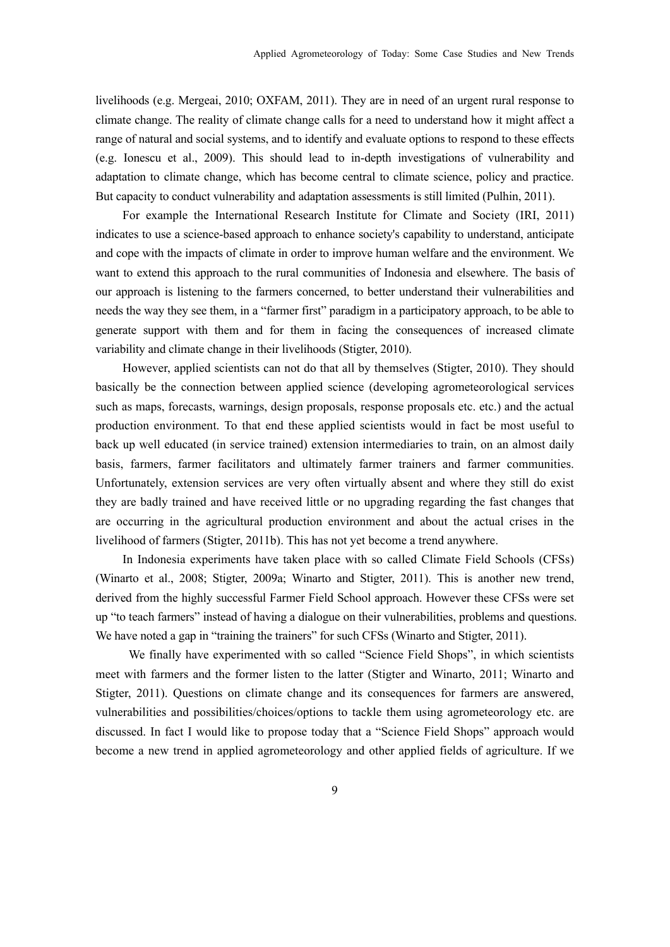livelihoods (e.g. Mergeai, 2010; OXFAM, 2011). They are in need of an urgent rural response to climate change. The reality of climate change calls for a need to understand how it might affect a range of natural and social systems, and to identify and evaluate options to respond to these effects (e.g. Ionescu et al., 2009). This should lead to in-depth investigations of vulnerability and adaptation to climate change, which has become central to climate science, policy and practice. But capacity to conduct vulnerability and adaptation assessments is still limited (Pulhin, 2011).

 For example the International Research Institute for Climate and Society (IRI, 2011) indicates to use a science-based approach to enhance society's capability to understand, anticipate and cope with the impacts of climate in order to improve human welfare and the environment. We want to extend this approach to the rural communities of Indonesia and elsewhere. The basis of our approach is listening to the farmers concerned, to better understand their vulnerabilities and needs the way they see them, in a "farmer first" paradigm in a participatory approach, to be able to generate support with them and for them in facing the consequences of increased climate variability and climate change in their livelihoods (Stigter, 2010).

 However, applied scientists can not do that all by themselves (Stigter, 2010). They should basically be the connection between applied science (developing agrometeorological services such as maps, forecasts, warnings, design proposals, response proposals etc. etc.) and the actual production environment. To that end these applied scientists would in fact be most useful to back up well educated (in service trained) extension intermediaries to train, on an almost daily basis, farmers, farmer facilitators and ultimately farmer trainers and farmer communities. Unfortunately, extension services are very often virtually absent and where they still do exist they are badly trained and have received little or no upgrading regarding the fast changes that are occurring in the agricultural production environment and about the actual crises in the livelihood of farmers (Stigter, 2011b). This has not yet become a trend anywhere.

 In Indonesia experiments have taken place with so called Climate Field Schools (CFSs) (Winarto et al., 2008; Stigter, 2009a; Winarto and Stigter, 2011). This is another new trend, derived from the highly successful Farmer Field School approach. However these CFSs were set up "to teach farmers" instead of having a dialogue on their vulnerabilities, problems and questions. We have noted a gap in "training the trainers" for such CFSs (Winarto and Stigter, 2011).

 We finally have experimented with so called "Science Field Shops", in which scientists meet with farmers and the former listen to the latter (Stigter and Winarto, 2011; Winarto and Stigter, 2011). Questions on climate change and its consequences for farmers are answered, vulnerabilities and possibilities/choices/options to tackle them using agrometeorology etc. are discussed. In fact I would like to propose today that a "Science Field Shops" approach would become a new trend in applied agrometeorology and other applied fields of agriculture. If we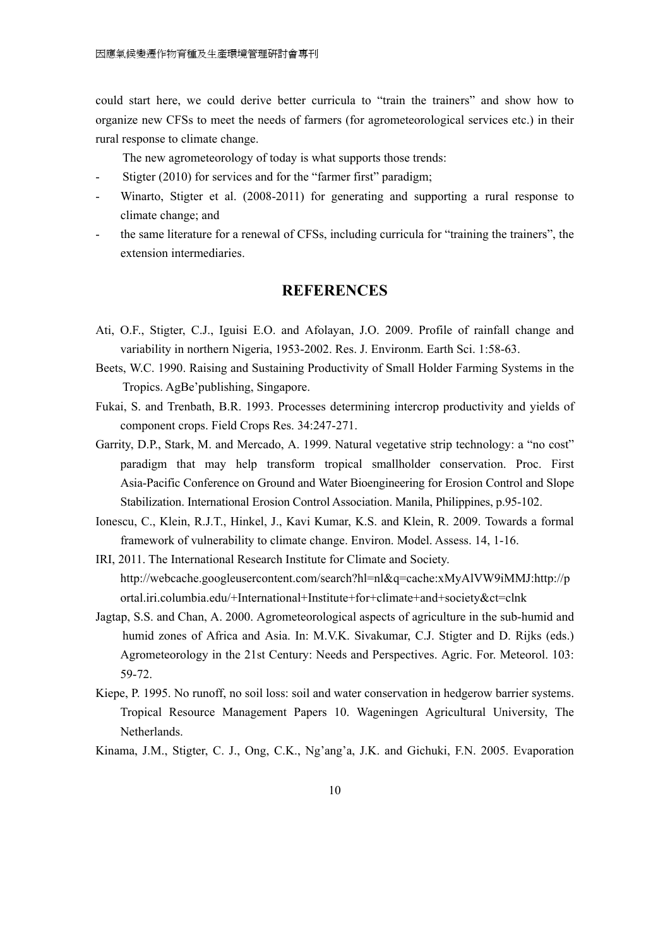could start here, we could derive better curricula to "train the trainers" and show how to organize new CFSs to meet the needs of farmers (for agrometeorological services etc.) in their rural response to climate change.

The new agrometeorology of today is what supports those trends:

- Stigter (2010) for services and for the "farmer first" paradigm;
- Winarto, Stigter et al. (2008-2011) for generating and supporting a rural response to climate change; and
- the same literature for a renewal of CFSs, including curricula for "training the trainers", the extension intermediaries.

### **REFERENCES**

- Ati, O.F., Stigter, C.J., Iguisi E.O. and Afolayan, J.O. 2009. Profile of rainfall change and variability in northern Nigeria, 1953-2002. Res. J. Environm. Earth Sci. 1:58-63.
- Beets, W.C. 1990. Raising and Sustaining Productivity of Small Holder Farming Systems in the Tropics. AgBe'publishing, Singapore.
- Fukai, S. and Trenbath, B.R. 1993. Processes determining intercrop productivity and yields of component crops. Field Crops Res. 34:247-271.
- Garrity, D.P., Stark, M. and Mercado, A. 1999. Natural vegetative strip technology: a "no cost" paradigm that may help transform tropical smallholder conservation. Proc. First Asia-Pacific Conference on Ground and Water Bioengineering for Erosion Control and Slope Stabilization. International Erosion Control Association. Manila, Philippines, p.95-102.
- Ionescu, C., Klein, R.J.T., Hinkel, J., Kavi Kumar, K.S. and Klein, R. 2009. Towards a formal framework of vulnerability to climate change. Environ. Model. Assess. 14, 1-16.
- IRI, 2011. The International Research Institute for Climate and Society. http://webcache.googleusercontent.com/search?hl=nl&q=cache:xMyAlVW9iMMJ:http://p ortal.iri.columbia.edu/+International+Institute+for+climate+and+society&ct=clnk
- Jagtap, S.S. and Chan, A. 2000. Agrometeorological aspects of agriculture in the sub-humid and humid zones of Africa and Asia. In: M.V.K. Sivakumar, C.J. Stigter and D. Rijks (eds.) Agrometeorology in the 21st Century: Needs and Perspectives. Agric. For. Meteorol. 103: 59-72.
- Kiepe, P. 1995. No runoff, no soil loss: soil and water conservation in hedgerow barrier systems. Tropical Resource Management Papers 10. Wageningen Agricultural University, The Netherlands.
- Kinama, J.M., Stigter, C. J., Ong, C.K., Ng'ang'a, J.K. and Gichuki, F.N. 2005. Evaporation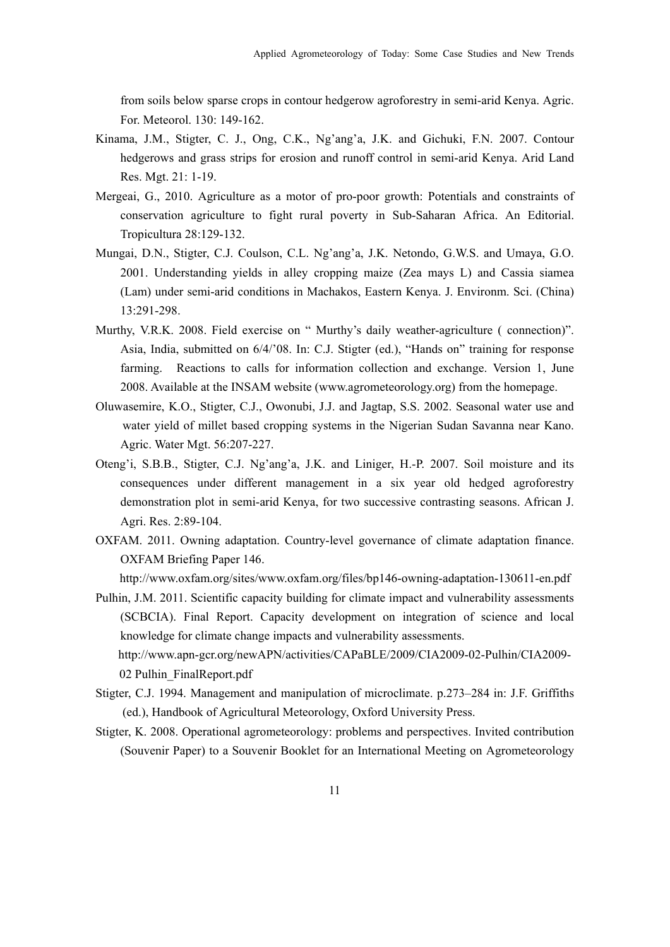from soils below sparse crops in contour hedgerow agroforestry in semi-arid Kenya. Agric. For. Meteorol. 130: 149-162.

- Kinama, J.M., Stigter, C. J., Ong, C.K., Ng'ang'a, J.K. and Gichuki, F.N. 2007. Contour hedgerows and grass strips for erosion and runoff control in semi-arid Kenya. Arid Land Res. Mgt. 21: 1-19.
- Mergeai, G., 2010. Agriculture as a motor of pro-poor growth: Potentials and constraints of conservation agriculture to fight rural poverty in Sub-Saharan Africa. An Editorial. Tropicultura 28:129-132.
- Mungai, D.N., Stigter, C.J. Coulson, C.L. Ng'ang'a, J.K. Netondo, G.W.S. and Umaya, G.O. 2001. Understanding yields in alley cropping maize (Zea mays L) and Cassia siamea (Lam) under semi-arid conditions in Machakos, Eastern Kenya. J. Environm. Sci. (China) 13:291-298.
- Murthy, V.R.K. 2008. Field exercise on " Murthy's daily weather-agriculture ( connection)". Asia, India, submitted on 6/4/'08. In: C.J. Stigter (ed.), "Hands on" training for response farming. Reactions to calls for information collection and exchange. Version 1, June 2008. Available at the INSAM website (www.agrometeorology.org) from the homepage.
- Oluwasemire, K.O., Stigter, C.J., Owonubi, J.J. and Jagtap, S.S. 2002. Seasonal water use and water yield of millet based cropping systems in the Nigerian Sudan Savanna near Kano. Agric. Water Mgt. 56:207-227.
- Oteng'i, S.B.B., Stigter, C.J. Ng'ang'a, J.K. and Liniger, H.-P. 2007. Soil moisture and its consequences under different management in a six year old hedged agroforestry demonstration plot in semi-arid Kenya, for two successive contrasting seasons. African J. Agri. Res. 2:89-104.
- OXFAM. 2011. Owning adaptation. Country-level governance of climate adaptation finance. OXFAM Briefing Paper 146.

http://www.oxfam.org/sites/www.oxfam.org/files/bp146-owning-adaptation-130611-en.pdf

- Pulhin, J.M. 2011. Scientific capacity building for climate impact and vulnerability assessments (SCBCIA). Final Report. Capacity development on integration of science and local knowledge for climate change impacts and vulnerability assessments. http://www.apn-gcr.org/newAPN/activities/CAPaBLE/2009/CIA2009-02-Pulhin/CIA2009- 02 Pulhin\_FinalReport.pdf
- Stigter, C.J. 1994. Management and manipulation of microclimate. p.273–284 in: J.F. Griffiths (ed.), Handbook of Agricultural Meteorology, Oxford University Press.
- Stigter, K. 2008. Operational agrometeorology: problems and perspectives. Invited contribution (Souvenir Paper) to a Souvenir Booklet for an International Meeting on Agrometeorology